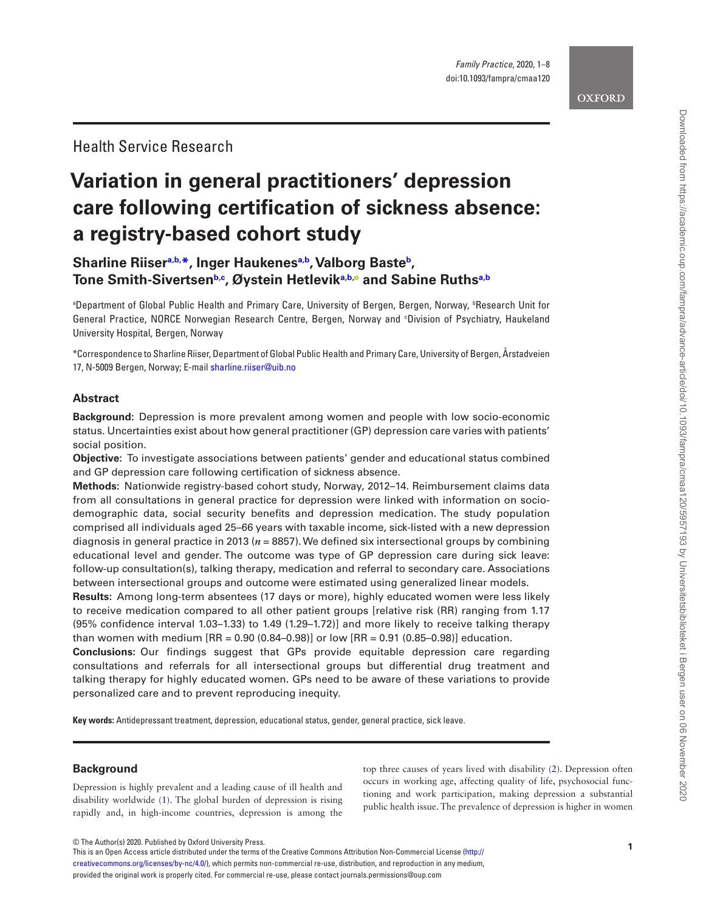# **Variation in general practitioners' depression care following certification of sickness absence: a registry-based cohort study**

# **Sharline Riise[ra](#page-0-0)[,b](#page-0-1), [\\*](#page-0-2), Inger Haukene[sa](#page-0-0)[,b,](#page-0-1) Valborg Bast[eb,](#page-0-1) Tone Smith-Sivertsen[b,](#page-0-1)[c](#page-0-3) , Øystein Hetlevi[ka](#page-0-0)[,b](#page-0-1)[,](http://orcid.org/0000-0001-8912-3426) and Sabine Ruth[sa](#page-0-0)[,b](#page-0-1)**

<span id="page-0-3"></span><span id="page-0-1"></span><span id="page-0-0"></span>**Bepartment of Global Public Health and Primary Care, University of Bergen, Bergen, Norway, 'Research Unit for '** General Practice, NORCE Norwegian Research Centre, Bergen, Norway and c Division of Psychiatry, Haukeland University Hospital, Bergen, Norway

<span id="page-0-2"></span>\*Correspondence to Sharline Riiser, Department of Global Public Health and Primary Care, University of Bergen, Årstadveien 17, N-5009 Bergen, Norway; E-mail [sharline.riiser@uib.no](mailto:sharline.riiser@uib.no?subject=)

# **Abstract**

**Background:** Depression is more prevalent among women and people with low socio-economic status. Uncertainties exist about how general practitioner (GP) depression care varies with patients' social position.

**Objective:** To investigate associations between patients' gender and educational status combined and GP depression care following certification of sickness absence.

**Methods:** Nationwide registry-based cohort study, Norway, 2012–14. Reimbursement claims data from all consultations in general practice for depression were linked with information on sociodemographic data, social security benefits and depression medication. The study population comprised all individuals aged 25–66 years with taxable income, sick-listed with a new depression diagnosis in general practice in 2013 (*n* = 8857). We defined six intersectional groups by combining educational level and gender. The outcome was type of GP depression care during sick leave: follow-up consultation(s), talking therapy, medication and referral to secondary care. Associations between intersectional groups and outcome were estimated using generalized linear models.

**Results:** Among long-term absentees (17 days or more), highly educated women were less likely to receive medication compared to all other patient groups [relative risk (RR) ranging from 1.17 (95% confidence interval 1.03–1.33) to 1.49 (1.29–1.72)] and more likely to receive talking therapy than women with medium  $[RR = 0.90 (0.84 - 0.98)]$  or low  $[RR = 0.91 (0.85 - 0.98)]$  education.

**Conclusions:** Our findings suggest that GPs provide equitable depression care regarding consultations and referrals for all intersectional groups but differential drug treatment and talking therapy for highly educated women. GPs need to be aware of these variations to provide personalized care and to prevent reproducing inequity.

**Key words:** Antidepressant treatment, depression, educational status, gender, general practice, sick leave.

# **Background**

Depression is highly prevalent and a leading cause of ill health and disability worldwide [\(1\)](#page-6-0). The global burden of depression is rising rapidly and, in high-income countries, depression is among the top three causes of years lived with disability ([2](#page-6-1)). Depression often occurs in working age, affecting quality of life, psychosocial functioning and work participation, making depression a substantial public health issue. The prevalence of depression is higher in women

© The Author(s) 2020. Published by Oxford University Press.<br>This is an Open Access article distributed under the terms of the Creative Commons Attribution Non-Commercial License ([http://](http://creativecommons.org/licenses/by-nc/4.0/) [creativecommons.org/licenses/by-nc/4.0/](http://creativecommons.org/licenses/by-nc/4.0/)), which permits non-commercial re-use, distribution, and reproduction in any medium, provided the original work is properly cited. For commercial re-use, please contact journals.permissions@oup.com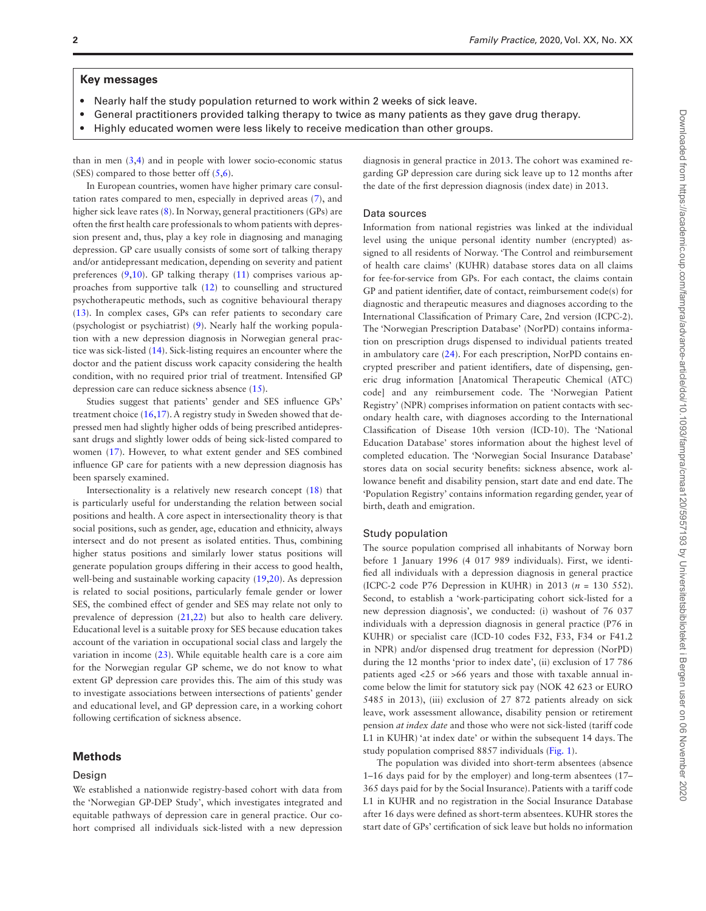#### **Key messages**

- Nearly half the study population returned to work within 2 weeks of sick leave.
- General practitioners provided talking therapy to twice as many patients as they gave drug therapy.
- Highly educated women were less likely to receive medication than other groups.

than in men  $(3,4)$  $(3,4)$  $(3,4)$  and in people with lower socio-economic status (SES) compared to those better off  $(5,6)$  $(5,6)$  $(5,6)$ .

In European countries, women have higher primary care consultation rates compared to men, especially in deprived areas [\(7\)](#page-6-6), and higher sick leave rates [\(8\)](#page-6-7). In Norway, general practitioners (GPs) are often the first health care professionals to whom patients with depression present and, thus, play a key role in diagnosing and managing depression. GP care usually consists of some sort of talking therapy and/or antidepressant medication, depending on severity and patient preferences ([9](#page-6-8)[,10](#page-6-9)). GP talking therapy ([11\)](#page-6-10) comprises various approaches from supportive talk [\(12](#page-6-11)) to counselling and structured psychotherapeutic methods, such as cognitive behavioural therapy ([13\)](#page-7-0). In complex cases, GPs can refer patients to secondary care (psychologist or psychiatrist) ([9](#page-6-8)). Nearly half the working population with a new depression diagnosis in Norwegian general practice was sick-listed ([14](#page-7-1)). Sick-listing requires an encounter where the doctor and the patient discuss work capacity considering the health condition, with no required prior trial of treatment. Intensified GP depression care can reduce sickness absence ([15\)](#page-7-2).

Studies suggest that patients' gender and SES influence GPs' treatment choice ([16](#page-7-3),[17\)](#page-7-4). A registry study in Sweden showed that depressed men had slightly higher odds of being prescribed antidepressant drugs and slightly lower odds of being sick-listed compared to women ([17\)](#page-7-4). However, to what extent gender and SES combined influence GP care for patients with a new depression diagnosis has been sparsely examined.

Intersectionality is a relatively new research concept [\(18](#page-7-5)) that is particularly useful for understanding the relation between social positions and health. A core aspect in intersectionality theory is that social positions, such as gender, age, education and ethnicity, always intersect and do not present as isolated entities. Thus, combining higher status positions and similarly lower status positions will generate population groups differing in their access to good health, well-being and sustainable working capacity [\(19](#page-7-6),[20](#page-7-7)). As depression is related to social positions, particularly female gender or lower SES, the combined effect of gender and SES may relate not only to prevalence of depression ([21](#page-7-8),[22\)](#page-7-9) but also to health care delivery. Educational level is a suitable proxy for SES because education takes account of the variation in occupational social class and largely the variation in income ([23\)](#page-7-10). While equitable health care is a core aim for the Norwegian regular GP scheme, we do not know to what extent GP depression care provides this. The aim of this study was to investigate associations between intersections of patients' gender and educational level, and GP depression care, in a working cohort following certification of sickness absence.

#### **Methods**

#### Design

We established a nationwide registry-based cohort with data from the 'Norwegian GP-DEP Study', which investigates integrated and equitable pathways of depression care in general practice. Our cohort comprised all individuals sick-listed with a new depression diagnosis in general practice in 2013. The cohort was examined regarding GP depression care during sick leave up to 12 months after the date of the first depression diagnosis (index date) in 2013.

#### Data sources

Information from national registries was linked at the individual level using the unique personal identity number (encrypted) assigned to all residents of Norway. 'The Control and reimbursement of health care claims' (KUHR) database stores data on all claims for fee-for-service from GPs. For each contact, the claims contain GP and patient identifier, date of contact, reimbursement code(s) for diagnostic and therapeutic measures and diagnoses according to the International Classification of Primary Care, 2nd version (ICPC-2). The 'Norwegian Prescription Database' (NorPD) contains information on prescription drugs dispensed to individual patients treated in ambulatory care ([24\)](#page-7-11). For each prescription, NorPD contains encrypted prescriber and patient identifiers, date of dispensing, generic drug information [Anatomical Therapeutic Chemical (ATC) code] and any reimbursement code. The 'Norwegian Patient Registry' (NPR) comprises information on patient contacts with secondary health care, with diagnoses according to the International Classification of Disease 10th version (ICD-10). The 'National Education Database' stores information about the highest level of completed education. The 'Norwegian Social Insurance Database' stores data on social security benefits: sickness absence, work allowance benefit and disability pension, start date and end date. The 'Population Registry' contains information regarding gender, year of birth, death and emigration.

#### Study population

The source population comprised all inhabitants of Norway born before 1 January 1996 (4 017 989 individuals). First, we identified all individuals with a depression diagnosis in general practice (ICPC-2 code P76 Depression in KUHR) in 2013 ( $n = 130$  552). Second, to establish a 'work-participating cohort sick-listed for a new depression diagnosis', we conducted: (i) washout of 76 037 individuals with a depression diagnosis in general practice (P76 in KUHR) or specialist care (ICD-10 codes F32, F33, F34 or F41.2 in NPR) and/or dispensed drug treatment for depression (NorPD) during the 12 months 'prior to index date', (ii) exclusion of 17 786 patients aged <25 or >66 years and those with taxable annual income below the limit for statutory sick pay (NOK 42 623 or EURO 5485 in 2013), (iii) exclusion of 27 872 patients already on sick leave, work assessment allowance, disability pension or retirement pension *at index date* and those who were not sick-listed (tariff code L1 in KUHR) 'at index date' or within the subsequent 14 days. The study population comprised 8857 individuals ([Fig. 1](#page-2-0)).

The population was divided into short-term absentees (absence 1–16 days paid for by the employer) and long-term absentees (17– 365 days paid for by the Social Insurance). Patients with a tariff code L1 in KUHR and no registration in the Social Insurance Database after 16 days were defined as short-term absentees. KUHR stores the start date of GPs' certification of sick leave but holds no information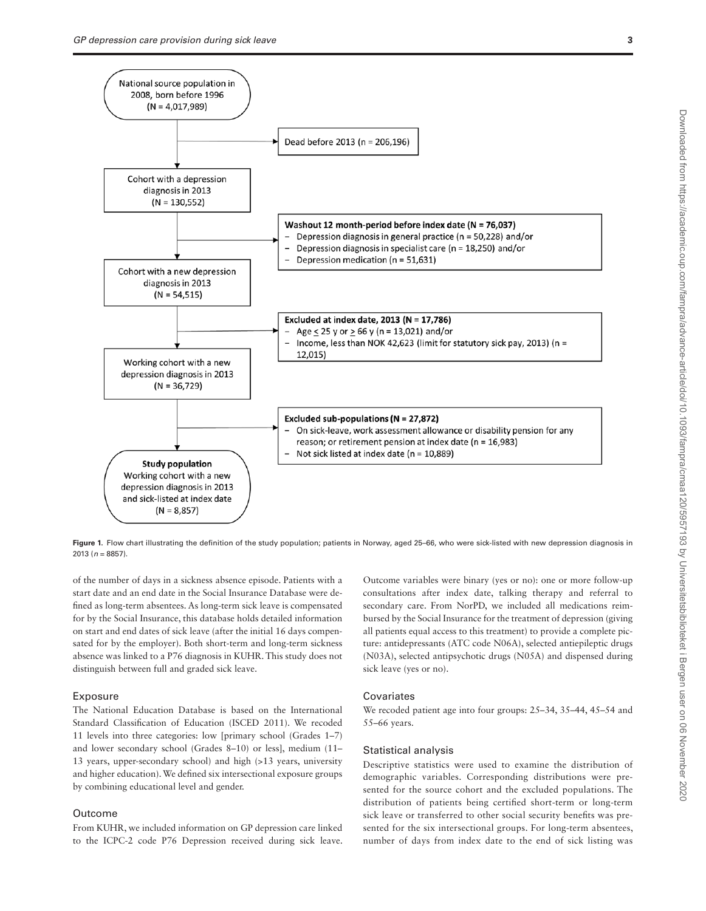

<span id="page-2-0"></span>Figure 1. Flow chart illustrating the definition of the study population; patients in Norway, aged 25-66, who were sick-listed with new depression diagnosis in 2013 (*n* = 8857).

of the number of days in a sickness absence episode. Patients with a start date and an end date in the Social Insurance Database were defined as long-term absentees. As long-term sick leave is compensated for by the Social Insurance, this database holds detailed information on start and end dates of sick leave (after the initial 16 days compensated for by the employer). Both short-term and long-term sickness absence was linked to a P76 diagnosis in KUHR. This study does not distinguish between full and graded sick leave.

#### **Exposure**

The National Education Database is based on the International Standard Classification of Education (ISCED 2011). We recoded 11 levels into three categories: low [primary school (Grades 1–7) and lower secondary school (Grades 8–10) or less], medium (11– 13 years, upper-secondary school) and high (>13 years, university and higher education). We defined six intersectional exposure groups by combining educational level and gender.

#### Outcome

From KUHR, we included information on GP depression care linked to the ICPC-2 code P76 Depression received during sick leave.

Outcome variables were binary (yes or no): one or more follow-up consultations after index date, talking therapy and referral to secondary care. From NorPD, we included all medications reimbursed by the Social Insurance for the treatment of depression (giving all patients equal access to this treatment) to provide a complete picture: antidepressants (ATC code N06A), selected antiepileptic drugs (N03A), selected antipsychotic drugs (N05A) and dispensed during sick leave (yes or no).

#### Covariates

We recoded patient age into four groups: 25–34, 35–44, 45–54 and 55–66 years.

#### Statistical analysis

Descriptive statistics were used to examine the distribution of demographic variables. Corresponding distributions were presented for the source cohort and the excluded populations. The distribution of patients being certified short-term or long-term sick leave or transferred to other social security benefits was presented for the six intersectional groups. For long-term absentees, number of days from index date to the end of sick listing was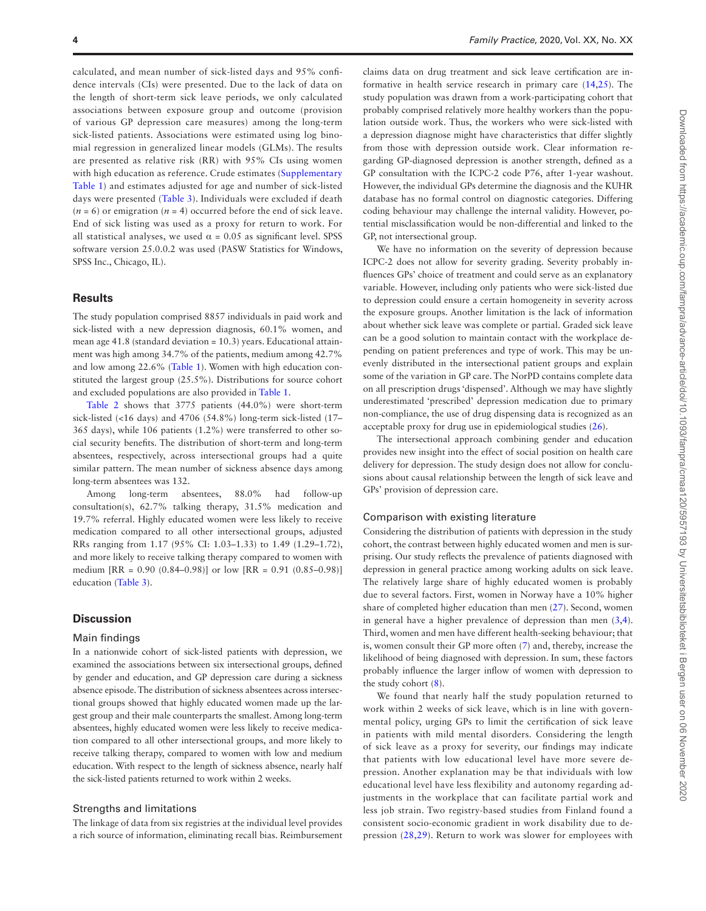calculated, and mean number of sick-listed days and 95% confidence intervals (CIs) were presented. Due to the lack of data on the length of short-term sick leave periods, we only calculated associations between exposure group and outcome (provision of various GP depression care measures) among the long-term sick-listed patients. Associations were estimated using log binomial regression in generalized linear models (GLMs). The results are presented as relative risk (RR) with 95% CIs using women with high education as reference. Crude estimates ([Supplementary](http://academic.oup.com/fampra/article-lookup/doi/10.1093/fampra/cmaa120#supplementary-data) [Table 1\)](http://academic.oup.com/fampra/article-lookup/doi/10.1093/fampra/cmaa120#supplementary-data) and estimates adjusted for age and number of sick-listed days were presented [\(Table 3\)](#page-5-0). Individuals were excluded if death  $(n = 6)$  or emigration  $(n = 4)$  occurred before the end of sick leave. End of sick listing was used as a proxy for return to work. For all statistical analyses, we used  $\alpha = 0.05$  as significant level. SPSS software version 25.0.0.2 was used (PASW Statistics for Windows, SPSS Inc., Chicago, IL).

#### **Results**

The study population comprised 8857 individuals in paid work and sick-listed with a new depression diagnosis, 60.1% women, and mean age 41.8 (standard deviation = 10.3) years. Educational attainment was high among 34.7% of the patients, medium among 42.7% and low among 22.6% ([Table 1](#page-4-0)). Women with high education constituted the largest group (25.5%). Distributions for source cohort and excluded populations are also provided in [Table 1](#page-4-0).

[Table 2](#page-5-1) shows that 3775 patients (44.0%) were short-term sick-listed (<16 days) and 4706 (54.8%) long-term sick-listed (17– 365 days), while 106 patients (1.2%) were transferred to other social security benefits. The distribution of short-term and long-term absentees, respectively, across intersectional groups had a quite similar pattern. The mean number of sickness absence days among long-term absentees was 132.

Among long-term absentees, 88.0% had follow-up consultation(s), 62.7% talking therapy, 31.5% medication and 19.7% referral. Highly educated women were less likely to receive medication compared to all other intersectional groups, adjusted RRs ranging from 1.17 (95% CI: 1.03–1.33) to 1.49 (1.29–1.72), and more likely to receive talking therapy compared to women with medium [RR = 0.90 (0.84–0.98)] or low [RR = 0.91 (0.85–0.98)] education ([Table 3](#page-5-0)).

#### **Discussion**

#### Main findings

In a nationwide cohort of sick-listed patients with depression, we examined the associations between six intersectional groups, defined by gender and education, and GP depression care during a sickness absence episode. The distribution of sickness absentees across intersectional groups showed that highly educated women made up the largest group and their male counterparts the smallest. Among long-term absentees, highly educated women were less likely to receive medication compared to all other intersectional groups, and more likely to receive talking therapy, compared to women with low and medium education. With respect to the length of sickness absence, nearly half the sick-listed patients returned to work within 2 weeks.

#### Strengths and limitations

The linkage of data from six registries at the individual level provides a rich source of information, eliminating recall bias. Reimbursement

claims data on drug treatment and sick leave certification are informative in health service research in primary care ([14,](#page-7-1)[25\)](#page-7-12). The study population was drawn from a work-participating cohort that probably comprised relatively more healthy workers than the population outside work. Thus, the workers who were sick-listed with a depression diagnose might have characteristics that differ slightly from those with depression outside work. Clear information regarding GP-diagnosed depression is another strength, defined as a GP consultation with the ICPC-2 code P76, after 1-year washout. However, the individual GPs determine the diagnosis and the KUHR database has no formal control on diagnostic categories. Differing coding behaviour may challenge the internal validity. However, potential misclassification would be non-differential and linked to the GP, not intersectional group.

We have no information on the severity of depression because ICPC-2 does not allow for severity grading. Severity probably influences GPs' choice of treatment and could serve as an explanatory variable. However, including only patients who were sick-listed due to depression could ensure a certain homogeneity in severity across the exposure groups. Another limitation is the lack of information about whether sick leave was complete or partial. Graded sick leave can be a good solution to maintain contact with the workplace depending on patient preferences and type of work. This may be unevenly distributed in the intersectional patient groups and explain some of the variation in GP care. The NorPD contains complete data on all prescription drugs 'dispensed'. Although we may have slightly underestimated 'prescribed' depression medication due to primary non-compliance, the use of drug dispensing data is recognized as an acceptable proxy for drug use in epidemiological studies ([26\)](#page-7-13).

The intersectional approach combining gender and education provides new insight into the effect of social position on health care delivery for depression. The study design does not allow for conclusions about causal relationship between the length of sick leave and GPs' provision of depression care.

#### Comparison with existing literature

Considering the distribution of patients with depression in the study cohort, the contrast between highly educated women and men is surprising. Our study reflects the prevalence of patients diagnosed with depression in general practice among working adults on sick leave. The relatively large share of highly educated women is probably due to several factors. First, women in Norway have a 10% higher share of completed higher education than men ([27\)](#page-7-14). Second, women in general have a higher prevalence of depression than men [\(3](#page-6-2)[,4\)](#page-6-3). Third, women and men have different health-seeking behaviour; that is, women consult their GP more often [\(7\)](#page-6-6) and, thereby, increase the likelihood of being diagnosed with depression. In sum, these factors probably influence the larger inflow of women with depression to the study cohort [\(8\)](#page-6-7).

We found that nearly half the study population returned to work within 2 weeks of sick leave, which is in line with governmental policy, urging GPs to limit the certification of sick leave in patients with mild mental disorders. Considering the length of sick leave as a proxy for severity, our findings may indicate that patients with low educational level have more severe depression. Another explanation may be that individuals with low educational level have less flexibility and autonomy regarding adjustments in the workplace that can facilitate partial work and less job strain. Two registry-based studies from Finland found a consistent socio-economic gradient in work disability due to depression [\(28](#page-7-15),[29\)](#page-7-16). Return to work was slower for employees with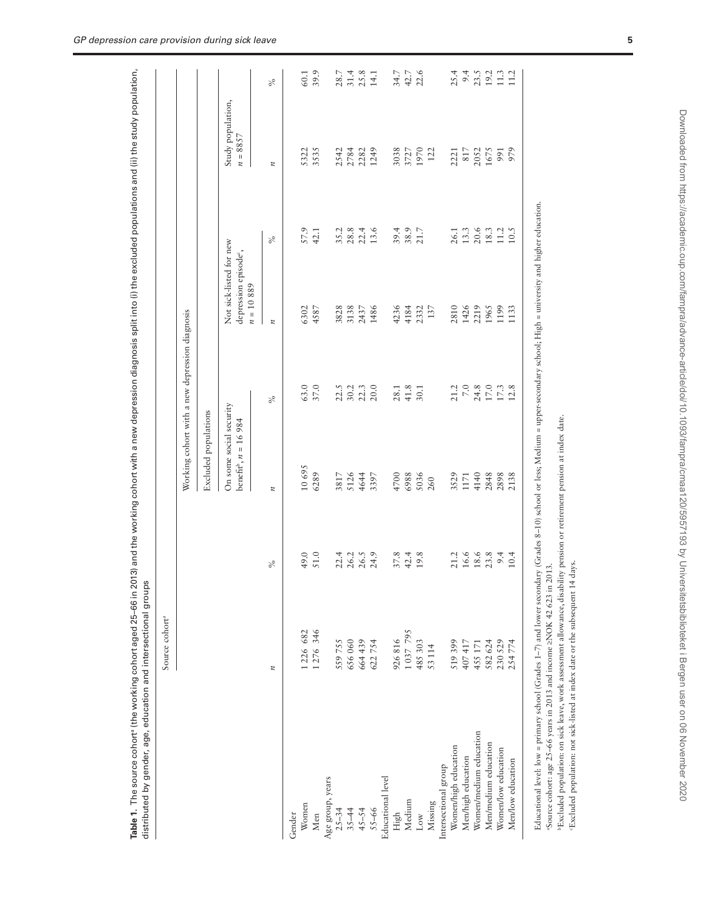|                        | Source cohort <sup>a</sup> |                      |                                                               |                                                |                                                                             |                  |                                 |                              |
|------------------------|----------------------------|----------------------|---------------------------------------------------------------|------------------------------------------------|-----------------------------------------------------------------------------|------------------|---------------------------------|------------------------------|
|                        |                            |                      |                                                               | Working cohort with a new depression diagnosis |                                                                             |                  |                                 |                              |
|                        |                            |                      | Excluded populations                                          |                                                |                                                                             |                  |                                 |                              |
|                        |                            |                      | On some social security<br>benefit <sup>b</sup> , $n = 16984$ |                                                | Not sick-listed for new<br>depression episode <sup>c</sup> ,<br>$n=10\;889$ |                  | Study population,<br>$n = 8857$ |                              |
|                        | $\boldsymbol{n}$           | $\%$                 | $\boldsymbol{n}$                                              | $\%$                                           | $\boldsymbol{\mu}$                                                          | $\%$             | $\boldsymbol{\mu}$              | $\%$                         |
| Gender                 |                            |                      |                                                               |                                                |                                                                             |                  |                                 |                              |
| Women                  | 1226 682                   | 49.0                 | 10695                                                         | 63.0                                           | 6302                                                                        | 57.9             | 5322                            | 60.1                         |
| Men                    | 1276 346                   | 51.0                 | 6289                                                          | 37.0                                           | 4587                                                                        | 42.1             | 3535                            | 39.9                         |
| Age group, years       |                            |                      |                                                               |                                                |                                                                             |                  |                                 |                              |
| $25 - 34$              | 559755                     | 22.4                 | 3817                                                          | 22.5<br>30.2<br>20.0<br>20.0                   | 3828                                                                        | 35.2             |                                 | 28.7<br>31.4<br>25.3<br>14.1 |
| $35 - 44$              | 656 060                    | 26.3<br>26.5<br>24.9 | 5126                                                          |                                                | 3138                                                                        | $28.8$<br>$22.4$ |                                 |                              |
| $45 - 54$              | 664 439                    |                      | 4644                                                          |                                                | 2437                                                                        |                  |                                 |                              |
| $55 - 66$              | 622754                     |                      | 3397                                                          |                                                | 1486                                                                        | 13.6             | 2542<br>2784<br>2282<br>1249    |                              |
| Educational level      |                            |                      |                                                               |                                                |                                                                             |                  |                                 |                              |
| High                   | 926816                     | 37.8                 | 4700                                                          | 28.1                                           | 4236                                                                        | 39.4             | 3038                            | 34.7                         |
| Medium                 | 1 037 795                  | 42.4                 | 6988                                                          | $41.8$<br>30.1                                 | 4184                                                                        | $38.9$<br>21.7   | 3727<br>1970<br>122             | $42.7$<br>$22.6$             |
| Low                    | 485 303                    | 19.8                 | 5036                                                          |                                                | 2332                                                                        |                  |                                 |                              |
| Missing                | 53 114                     |                      | 260                                                           |                                                | 137                                                                         |                  |                                 |                              |
| Intersectional group   |                            |                      |                                                               |                                                |                                                                             |                  |                                 |                              |
| Women/high education   | 519 399                    | 21.2                 | 3529                                                          |                                                | 2810                                                                        | 26.1             |                                 |                              |
| Men/high education     | 407417                     | 16.6                 | 1171                                                          |                                                | 1426                                                                        | 13.3             |                                 |                              |
| Women/medium education | 455 171                    | 18.6                 | 4140                                                          | $21.2$<br>$7.0$<br>$24.8$<br>$17.0$            | 2219                                                                        | 20.6             | 2221<br>817<br>2052             |                              |
| Men/medium education   | 582 624                    | 23.8                 | 2848                                                          |                                                | 1965                                                                        | 18.3             | 1675<br>991<br>979              |                              |
| Women/low education    | 230 529                    | 9.4                  | 2898                                                          | $17.3$<br>$12.8$                               | 1199                                                                        | $11.2\,$         |                                 |                              |
| Men/low education      | 254774                     | 10.4                 | 2138                                                          |                                                | 1133                                                                        | 10.5             |                                 |                              |

**Table 1.** The source cohort (the working cohort aged 25–66 in 2013) and the working cohort with a new depression diagnosis split into (i) the excluded populations and (ii) the study population, Table 1. The source cohort (the working cohort aged 25–66 in 2013) and the working cohort with a new depression diagnosis solit into (i) the excluded populations and (ii) the study population

"Source cohort: age 25–66 years in 2013 and income  $\geq$  NOK 42 623 in 2013. aSource cohort: age 25–66 years in 2013 and income ≥NOK 42 623 in 2013.

bExcluded population: on sick leave, work assessment allowance, disability pension or retirement pension at index date.

<sup>b</sup>Excluded population: on sick leave, work assessment allowance, disability pension or retirement pension at index date.<br>Excluded population: not sick-listed at index date or the subsequent 14 days. cExcluded population: not sick-listed at index date or the subsequent 14 days.

<span id="page-4-0"></span>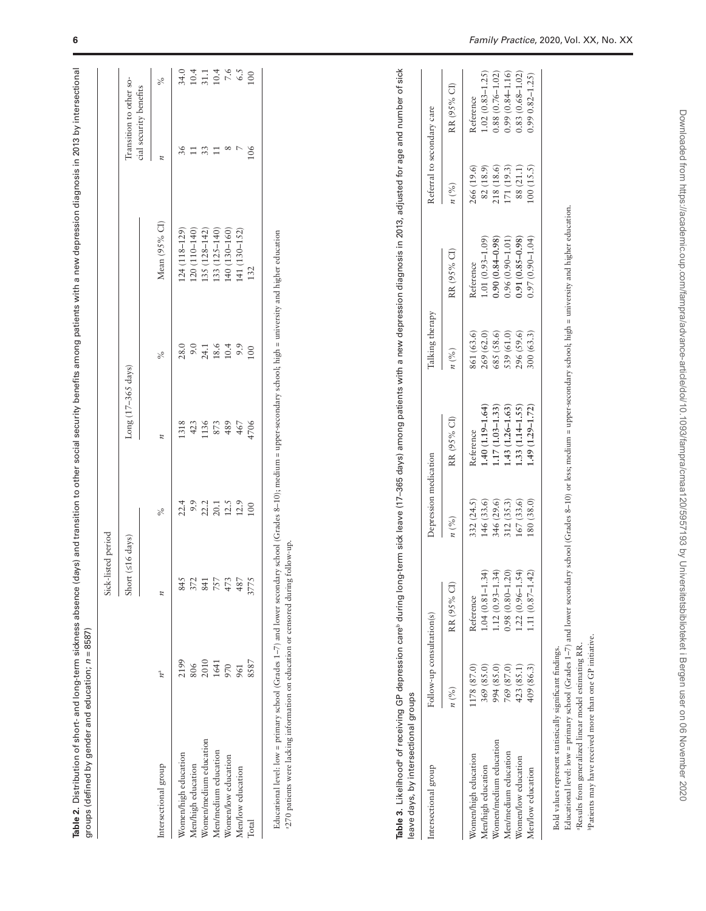|                        |             | Sick-listed period |      |                    |               |               |                                                   |                                                     |
|------------------------|-------------|--------------------|------|--------------------|---------------|---------------|---------------------------------------------------|-----------------------------------------------------|
|                        |             | Short (≤16 days)   |      | Long (17-365 days) |               |               | Transition to other so-<br>cial security benefits |                                                     |
| Intersectional group   | $n^{\rm a}$ |                    | $\%$ | n                  | $\frac{6}{6}$ | Mean (95% CI) |                                                   | ×                                                   |
|                        |             |                    |      |                    |               |               |                                                   |                                                     |
| Women/high education   | 2199        | 845                | 22.4 | 1318               | 28.0          | 124 (118-129) | 36                                                | 34.0                                                |
| Men/high education     |             | 372                | 9.9  | 423                | 9.0           | 120 (110-140) |                                                   |                                                     |
| Women/medium education | 2010        | 841                | 22.2 | 136                | 24.1          | 135 (128-142) |                                                   | $\begin{array}{c} 10.4 \\ 31.1 \\ 10.4 \end{array}$ |
| Men/medium education   | 1641        | 757                | 20.1 | 873                | 18.6          | 133 (125-140) |                                                   |                                                     |
| Women/low education    | 970         | 473                | 12.5 | 489                | 10.4          | 140 (130-160) |                                                   | $7.6$<br>6.5                                        |
| Men/low education      | 961         | 487                | 12.9 | 467                | 9.9           | 141 (130–152) |                                                   |                                                     |
| <b>Total</b>           | 8587        | 3775               | 100  | 4706               | 100           | 132           | 106                                               | $\overline{00}$                                     |

<span id="page-5-1"></span><sup>3</sup>270 patients were lacking information on education or censored during follow-up. a270 patients were lacking information on education or censored during follow-up.

| intersectional group   | Follow-up consultation(s) |                     | Depression medication |                     | Talking therapy |                     | Referral to secondary care |                     |
|------------------------|---------------------------|---------------------|-----------------------|---------------------|-----------------|---------------------|----------------------------|---------------------|
|                        | $n\binom{0}{0}$           | RR (95% CI)         | $n\binom{9}{6}$       | RR (95% CI)         | $n\binom{0}{0}$ | RR (95% CI)         | $n\binom{96}{6}$           | RR (95% CI)         |
| Women/high education   | (178(87.0)                | Reference           | 332(24.5)             | Reference           | 861 (63.6)      | Reference           | 266 (19.6)                 | Reference           |
| Aen/high education     | 369 (85.0)                | $.04(0.81 - 1.34)$  | 46(33.6)              | $.40(1.19 - 1.64)$  | 269 (62.0)      | $0.1(0.93 - 1.09)$  | 82(18.9)                   | $1.02(0.83 - 1.25)$ |
| Vomen/medium education | 994 (85.0)                | $.12(0.93 - 1.34)$  | 346 (29.6)            | $1.17(1.03 - 1.33)$ | 585 (58.6)      | $0.90(0.84 - 0.98)$ | (18(18.6)                  | $0.88(0.76 - 1.02)$ |
| Aen/medium education   | 769 (87.0)                | $0.98(0.80 - 1.20)$ | 12(35.3)              | $.43(1.26 - 1.63)$  | 539 (61.0)      | 0.96 (0.90-1.01     | .71(19.3)                  | $0.99(0.84 - 1.16)$ |
| Women/low education    | 423(85.1)                 | $(.22)(0.96-1.54)$  | 167(33.6)             | $.33(1.14 - 1.55)$  | 296 (59.6)      | $0.91(0.85 - 0.98)$ | 88 (21.1)                  | $0.83(0.68 - 1.02)$ |
| Men/low education      | 409 (86.3)                | $1.11(0.87 - 1.42)$ | (38, 0)               | $(.49(1.29-1.72))$  | (63.3)          | $0.97(0.90 - 1.04)$ | 00(15.5)                   | $0.990.82 - 1.25$   |

**Table 3.** Likelihooda of receiving GP depression careb during long-term sick leave (17–365 days) among patients with a new depression diagnosis in 2013, adjusted for age and number of sick

Table 3. Likelihood<sup>s</sup> of receiving GP depression care<sup>b</sup> during long-term sick leave (17–365 days) among patients with a new depression diagnosis in 2013, adjusted for age and number of sick

<span id="page-5-0"></span>Bold values represent statistically significant findings. Bold values represent statistically significant findings.

Educational level: low = primary school (Grades 1-7) and lower secondary school (Grades 8-10) or less, medium = upper-secondary school; high = university and higher education. Educational level: low = primary school (Grades 1–7) and lower secondary school (Grades 8–10) or less; medium = upper-secondary school; high = university and higher education. <sup>a</sup>Results from generalized linear model estimating RR. aResults from generalized linear model estimating RR.

bPatients may have received more than one GP initiative. bPatients may have received more than one GP initiative.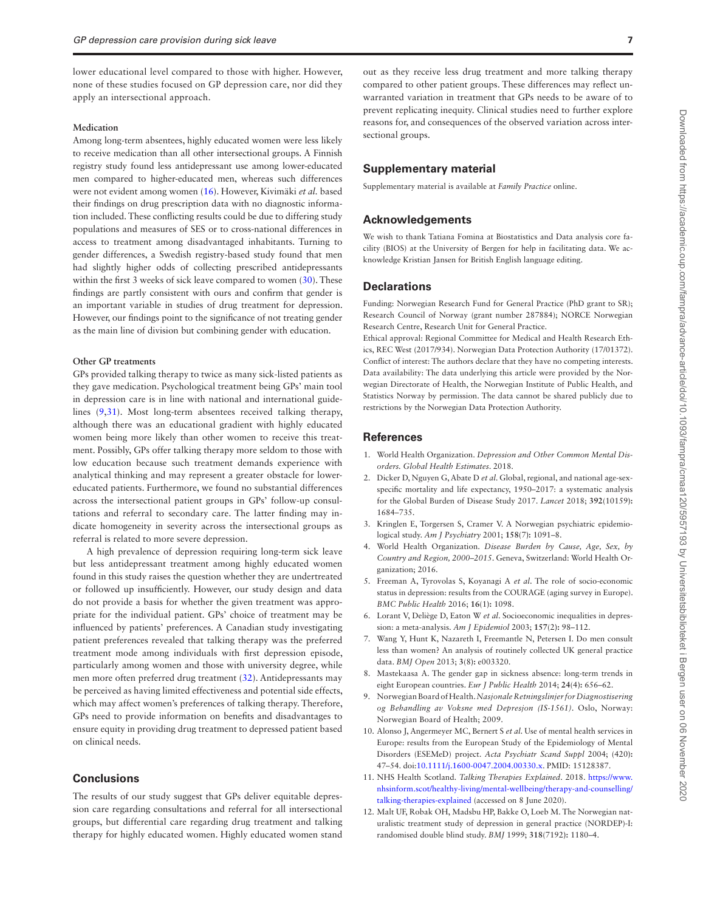lower educational level compared to those with higher. However, none of these studies focused on GP depression care, nor did they apply an intersectional approach.

#### **Medication**

Among long-term absentees, highly educated women were less likely to receive medication than all other intersectional groups. A Finnish registry study found less antidepressant use among lower-educated men compared to higher-educated men, whereas such differences were not evident among women ([16](#page-7-3)). However, Kivimäki *et al.* based their findings on drug prescription data with no diagnostic information included. These conflicting results could be due to differing study populations and measures of SES or to cross-national differences in access to treatment among disadvantaged inhabitants. Turning to gender differences, a Swedish registry-based study found that men had slightly higher odds of collecting prescribed antidepressants within the first 3 weeks of sick leave compared to women [\(30](#page-7-17)). These findings are partly consistent with ours and confirm that gender is an important variable in studies of drug treatment for depression. However, our findings point to the significance of not treating gender as the main line of division but combining gender with education.

#### **Other GP treatments**

GPs provided talking therapy to twice as many sick-listed patients as they gave medication. Psychological treatment being GPs' main tool in depression care is in line with national and international guidelines ([9](#page-6-8),[31](#page-7-18)). Most long-term absentees received talking therapy, although there was an educational gradient with highly educated women being more likely than other women to receive this treatment. Possibly, GPs offer talking therapy more seldom to those with low education because such treatment demands experience with analytical thinking and may represent a greater obstacle for lowereducated patients. Furthermore, we found no substantial differences across the intersectional patient groups in GPs' follow-up consultations and referral to secondary care. The latter finding may indicate homogeneity in severity across the intersectional groups as referral is related to more severe depression.

A high prevalence of depression requiring long-term sick leave but less antidepressant treatment among highly educated women found in this study raises the question whether they are undertreated or followed up insufficiently. However, our study design and data do not provide a basis for whether the given treatment was appropriate for the individual patient. GPs' choice of treatment may be influenced by patients' preferences. A Canadian study investigating patient preferences revealed that talking therapy was the preferred treatment mode among individuals with first depression episode, particularly among women and those with university degree, while men more often preferred drug treatment [\(32](#page-7-19)). Antidepressants may be perceived as having limited effectiveness and potential side effects, which may affect women's preferences of talking therapy. Therefore, GPs need to provide information on benefits and disadvantages to ensure equity in providing drug treatment to depressed patient based on clinical needs.

## **Conclusions**

The results of our study suggest that GPs deliver equitable depression care regarding consultations and referral for all intersectional groups, but differential care regarding drug treatment and talking therapy for highly educated women. Highly educated women stand

out as they receive less drug treatment and more talking therapy compared to other patient groups. These differences may reflect unwarranted variation in treatment that GPs needs to be aware of to prevent replicating inequity. Clinical studies need to further explore reasons for, and consequences of the observed variation across intersectional groups.

#### **Supplementary material**

Supplementary material is available at *Family Practice* online.

### **Acknowledgements**

We wish to thank Tatiana Fomina at Biostatistics and Data analysis core facility (BIOS) at the University of Bergen for help in facilitating data. We acknowledge Kristian Jansen for British English language editing.

#### **Declarations**

Funding: Norwegian Research Fund for General Practice (PhD grant to SR); Research Council of Norway (grant number 287884); NORCE Norwegian Research Centre, Research Unit for General Practice.

Ethical approval: Regional Committee for Medical and Health Research Ethics, REC West (2017/934). Norwegian Data Protection Authority (17/01372). Conflict of interest: The authors declare that they have no competing interests. Data availability: The data underlying this article were provided by the Norwegian Directorate of Health, the Norwegian Institute of Public Health, and Statistics Norway by permission. The data cannot be shared publicly due to restrictions by the Norwegian Data Protection Authority.

#### **References**

- <span id="page-6-0"></span>1. World Health Organization. *Depression and Other Common Mental Disorders. Global Health Estimates*. 2018.
- <span id="page-6-1"></span>2. Dicker D, Nguyen G, Abate D *et al*. Global, regional, and national age-sexspecific mortality and life expectancy, 1950–2017: a systematic analysis for the Global Burden of Disease Study 2017. *Lancet* 2018; **392**(10159**):** 1684–735.
- <span id="page-6-2"></span>3. Kringlen E, Torgersen S, Cramer V. A Norwegian psychiatric epidemiological study. *Am J Psychiatry* 2001; **158**(7**):** 1091–8.
- <span id="page-6-3"></span>4. World Health Organization. *Disease Burden by Cause, Age, Sex, by Country and Region, 2000–2015*. Geneva, Switzerland: World Health Organization; 2016.
- <span id="page-6-4"></span>5. Freeman A, Tyrovolas S, Koyanagi A *et al*. The role of socio-economic status in depression: results from the COURAGE (aging survey in Europe). *BMC Public Health* 2016; **16**(1**):** 1098.
- <span id="page-6-5"></span>6. Lorant V, Deliège D, Eaton W *et al*. Socioeconomic inequalities in depression: a meta-analysis. *Am J Epidemiol* 2003; **157**(2**):** 98–112.
- <span id="page-6-6"></span>7. Wang Y, Hunt K, Nazareth I, Freemantle N, Petersen I. Do men consult less than women? An analysis of routinely collected UK general practice data. *BMJ Open* 2013; **3**(8**):** e003320.
- <span id="page-6-7"></span>8. Mastekaasa A. The gender gap in sickness absence: long-term trends in eight European countries. *Eur J Public Health* 2014; **24**(4**):** 656–62.
- <span id="page-6-8"></span>9. Norwegian Board of Health. *Nasjonale Retningslinjer for Diagnostisering og Behandling av Voksne med Depresjon (IS-1561)*. Oslo, Norway: Norwegian Board of Health; 2009.
- <span id="page-6-9"></span>10. Alonso J, Angermeyer MC, Bernert S *et al*. Use of mental health services in Europe: results from the European Study of the Epidemiology of Mental Disorders (ESEMeD) project. *Acta Psychiatr Scand Suppl* 2004; (420**):** 47–54. doi:[10.1111/j.1600-0047.2004.00330.x.](https://doi.org/10.1111/j.1600-0047.2004.00330.x) PMID: 15128387.
- <span id="page-6-10"></span>11. NHS Health Scotland. *Talking Therapies Explained*. 2018. [https://www.](https://www.nhsinform.scot/healthy-living/mental-wellbeing/therapy-and-counselling/talking-therapies-explained) [nhsinform.scot/healthy-living/mental-wellbeing/therapy-and-counselling/](https://www.nhsinform.scot/healthy-living/mental-wellbeing/therapy-and-counselling/talking-therapies-explained) [talking-therapies-explained](https://www.nhsinform.scot/healthy-living/mental-wellbeing/therapy-and-counselling/talking-therapies-explained) (accessed on 8 June 2020).
- <span id="page-6-11"></span>12. Malt UF, Robak OH, Madsbu HP, Bakke O, Loeb M. The Norwegian naturalistic treatment study of depression in general practice (NORDEP)-I: randomised double blind study. *BMJ* 1999; **318**(7192**):** 1180–4.